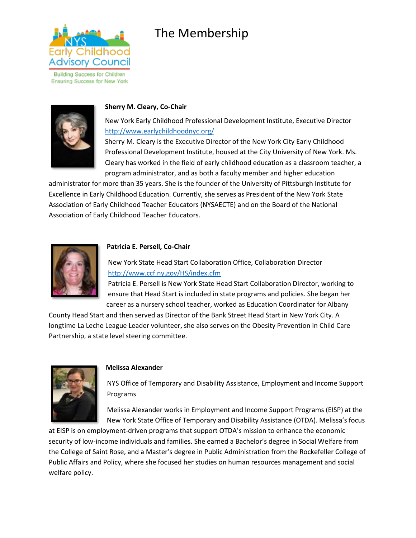

**Building Success for Children Ensuring Success for New York** 



## **Sherry M. Cleary, Co-Chair**

New York Early Childhood Professional Development Institute, Executive Director <http://www.earlychildhoodnyc.org/>

Sherry M. Cleary is the Executive Director of the New York City Early Childhood Professional Development Institute, housed at the City University of New York. Ms. Cleary has worked in the field of early childhood education as a classroom teacher, a program administrator, and as both a faculty member and higher education

administrator for more than 35 years. She is the founder of the University of Pittsburgh Institute for Excellence in Early Childhood Education. Currently, she serves as President of the New York State Association of Early Childhood Teacher Educators (NYSAECTE) and on the Board of the National Association of Early Childhood Teacher Educators.

The Membership



### **Patricia E. Persell, Co-Chair**

New York State Head Start Collaboration Office, Collaboration Director <http://www.ccf.ny.gov/HS/index.cfm>

Patricia E. Persell is New York State Head Start Collaboration Director, working to ensure that Head Start is included in state programs and policies. She began her career as a nursery school teacher, worked as Education Coordinator for Albany

County Head Start and then served as Director of the Bank Street Head Start in New York City. A longtime La Leche League Leader volunteer, she also serves on the Obesity Prevention in Child Care Partnership, a state level steering committee.



#### **Melissa Alexander**

NYS Office of Temporary and Disability Assistance, Employment and Income Support Programs

Melissa Alexander works in Employment and Income Support Programs (EISP) at the New York State Office of Temporary and Disability Assistance (OTDA). Melissa's focus

at EISP is on employment-driven programs that support OTDA's mission to enhance the economic security of low-income individuals and families. She earned a Bachelor's degree in Social Welfare from the College of Saint Rose, and a Master's degree in Public Administration from the Rockefeller College of Public Affairs and Policy, where she focused her studies on human resources management and social welfare policy.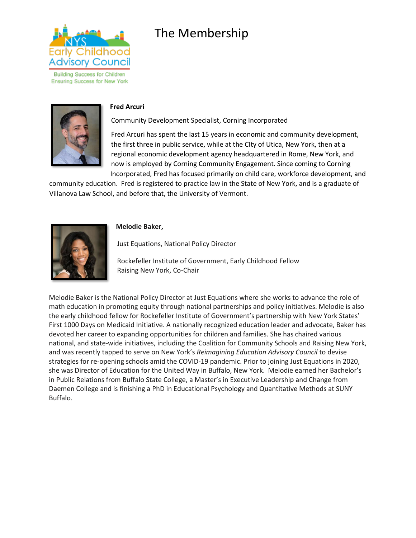

**Building Success for Children Ensuring Success for New York** 



#### **Fred Arcuri**

Community Development Specialist, Corning Incorporated

Fred Arcuri has spent the last 15 years in economic and community development, the first three in public service, while at the CIty of Utica, New York, then at a regional economic development agency headquartered in Rome, New York, and now is employed by Corning Community Engagement. Since coming to Corning Incorporated, Fred has focused primarily on child care, workforce development, and

community education. Fred is registered to practice law in the State of New York, and is a graduate of Villanova Law School, and before that, the University of Vermont.

## **Melodie Baker,**

Just Equations, National Policy Director

Rockefeller Institute of Government, Early Childhood Fellow Raising New York, Co-Chair

Melodie Baker is the National Policy Director at Just Equations where she works to advance the role of math education in promoting equity through national partnerships and policy initiatives. Melodie is also the early childhood fellow for Rockefeller Institute of Government's partnership with New York States' First 1000 Days on Medicaid Initiative. A nationally recognized education leader and advocate, Baker has devoted her career to expanding opportunities for children and families. She has chaired various national, and state-wide initiatives, including the Coalition for Community Schools and Raising New York, and was recently tapped to serve on New York's *Reimagining Education Advisory Council* to devise strategies for re-opening schools amid the COVID-19 pandemic. Prior to joining Just Equations in 2020, she was Director of Education for the United Way in Buffalo, New York. Melodie earned her Bachelor's in Public Relations from Buffalo State College, a Master's in Executive Leadership and Change from Daemen College and is finishing a PhD in Educational Psychology and Quantitative Methods at SUNY Buffalo.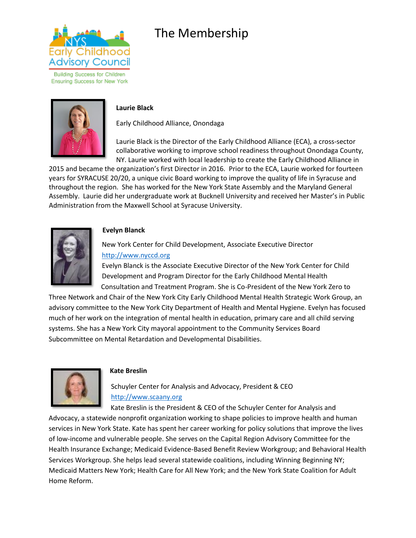

**Building Success for Children Ensuring Success for New York** 



## **Laurie Black**

Early Childhood Alliance, Onondaga

Laurie Black is the Director of the Early Childhood Alliance (ECA), a cross-sector collaborative working to improve school readiness throughout Onondaga County, NY. Laurie worked with local leadership to create the Early Childhood Alliance in

2015 and became the organization's first Director in 2016. Prior to the ECA, Laurie worked for fourteen years for SYRACUSE 20/20, a unique civic Board working to improve the quality of life in Syracuse and throughout the region. She has worked for the New York State Assembly and the Maryland General Assembly. Laurie did her undergraduate work at Bucknell University and received her Master's in Public Administration from the Maxwell School at Syracuse University.



## **Evelyn Blanck**

New York Center for Child Development, Associate Executive Director [http://www.nyccd.org](http://www.nyccd.org/)

Evelyn Blanck is the Associate Executive Director of the New York Center for Child Development and Program Director for the Early Childhood Mental Health Consultation and Treatment Program. She is Co-President of the New York Zero to

Three Network and Chair of the New York City Early Childhood Mental Health Strategic Work Group, an advisory committee to the New York City Department of Health and Mental Hygiene. Evelyn has focused much of her work on the integration of mental health in education, primary care and all child serving systems. She has a New York City mayoral appointment to the Community Services Board Subcommittee on Mental Retardation and Developmental Disabilities.



#### **Kate Breslin**

Schuyler Center for Analysis and Advocacy, President & CEO [http://www.scaany.org](http://www.scaany.org/)

Kate Breslin is the President & CEO of the Schuyler Center for Analysis and Advocacy, a statewide nonprofit organization working to shape policies to improve health and human services in New York State. Kate has spent her career working for policy solutions that improve the lives of low-income and vulnerable people. She serves on the Capital Region Advisory Committee for the Health Insurance Exchange; Medicaid Evidence-Based Benefit Review Workgroup; and Behavioral Health Services Workgroup. She helps lead several statewide coalitions, including Winning Beginning NY; Medicaid Matters New York; Health Care for All New York; and the New York State Coalition for Adult Home Reform.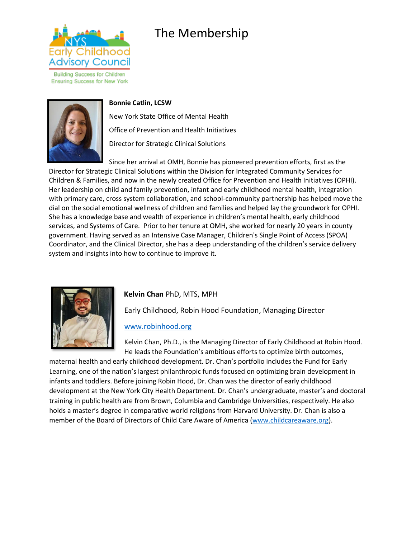

**Building Success for Children Ensuring Success for New York** 



### **Bonnie Catlin, LCSW**

New York State Office of Mental Health Office of Prevention and Health Initiatives Director for Strategic Clinical Solutions

Since her arrival at OMH, Bonnie has pioneered prevention efforts, first as the Director for Strategic Clinical Solutions within the Division for Integrated Community Services for Children & Families, and now in the newly created Office for Prevention and Health Initiatives (OPHI). Her leadership on child and family prevention, infant and early childhood mental health, integration with primary care, cross system collaboration, and school-community partnership has helped move the dial on the social emotional wellness of children and families and helped lay the groundwork for OPHI. She has a knowledge base and wealth of experience in children's mental health, early childhood services, and Systems of Care. Prior to her tenure at OMH, she worked for nearly 20 years in county government. Having served as an Intensive Case Manager, Children's Single Point of Access (SPOA) Coordinator, and the Clinical Director, she has a deep understanding of the children's service delivery system and insights into how to continue to improve it.



## **Kelvin Chan** PhD, MTS, MPH

Early Childhood, Robin Hood Foundation, Managing Director

## [www.robinhood.org](http://www.robinhood.org/)

Kelvin Chan, Ph.D., is the Managing Director of Early Childhood at Robin Hood. He leads the Foundation's ambitious efforts to optimize birth outcomes,

maternal health and early childhood development. Dr. Chan's portfolio includes the Fund for Early Learning, one of the nation's largest philanthropic funds focused on optimizing brain development in infants and toddlers. Before joining Robin Hood, Dr. Chan was the director of early childhood development at the New York City Health Department. Dr. Chan's undergraduate, master's and doctoral training in public health are from Brown, Columbia and Cambridge Universities, respectively. He also holds a master's degree in comparative world religions from Harvard University. Dr. Chan is also a member of the Board of Directors of Child Care Aware of America [\(www.childcareaware.org\)](http://www.childcareaware.org/).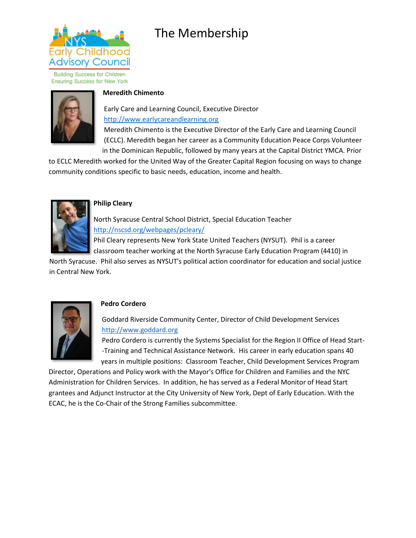

**Building Success for Children Ensuring Success for New York** 



## **Meredith Chimento**

Early Care and Learning Council, Executive Director [http://www.earlycareandlearning.org](http://www.earlycareandlearning.org/)

Meredith Chimento is the Executive Director of the Early Care and Learning Council (ECLC). Meredith began her career as a Community Education Peace Corps Volunteer in the Dominican Republic, followed by many years at the Capital District YMCA. Prior

to ECLC Meredith worked for the United Way of the Greater Capital Region focusing on ways to change community conditions specific to basic needs, education, income and health.



## **Philip Cleary**

North Syracuse Central School District, Special Education Teacher <http://nscsd.org/webpages/pcleary/>

Phil Cleary represents New York State United Teachers (NYSUT). Phil is a career classroom teacher working at the North Syracuse Early Education Program (4410) in

North Syracuse. Phil also serves as NYSUT's political action coordinator for education and social justice in Central New York.



## **Pedro Cordero**

Goddard Riverside Community Center, Director of Child Development Services [http://www.goddard.org](http://www.goddard.org/)

Pedro Cordero is currently the Systems Specialist for the Region II Office of Head Start- -Training and Technical Assistance Network. His career in early education spans 40 years in multiple positions: Classroom Teacher, Child Development Services Program

Director, Operations and Policy work with the Mayor's Office for Children and Families and the NYC Administration for Children Services. In addition, he has served as a Federal Monitor of Head Start grantees and Adjunct Instructor at the City University of New York, Dept of Early Education. With the ECAC, he is the Co-Chair of the Strong Families subcommittee.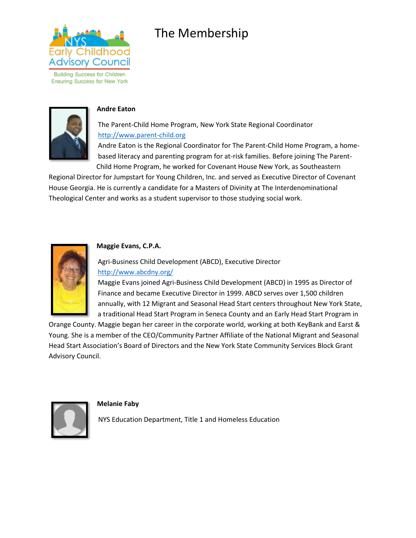

**Building Success for Children Ensuring Success for New York** 



## **Andre Eaton**

The Parent-Child Home Program, New York State Regional Coordinator [http://www.parent-child.org](http://www.parent-child.org/) Andre Eaton is the Regional Coordinator for The Parent-Child Home Program, a home-

based literacy and parenting program for at-risk families. Before joining The Parent-Child Home Program, he worked for Covenant House New York, as Southeastern

Regional Director for Jumpstart for Young Children, Inc. and served as Executive Director of Covenant House Georgia. He is currently a candidate for a Masters of Divinity at The Interdenominational Theological Center and works as a student supervisor to those studying social work.



## **Maggie Evans, C.P.A.**

Agri-Business Child Development (ABCD), Executive Director <http://www.abcdny.org/>

Maggie Evans joined Agri-Business Child Development (ABCD) in 1995 as Director of Finance and became Executive Director in 1999. ABCD serves over 1,500 children annually, with 12 Migrant and Seasonal Head Start centers throughout New York State, a traditional Head Start Program in Seneca County and an Early Head Start Program in

Orange County. Maggie began her career in the corporate world, working at both KeyBank and Earst & Young. She is a member of the CEO/Community Partner Affiliate of the National Migrant and Seasonal Head Start Association's Board of Directors and the New York State Community Services Block Grant Advisory Council.



**Melanie Faby** 

NYS Education Department, Title 1 and Homeless Education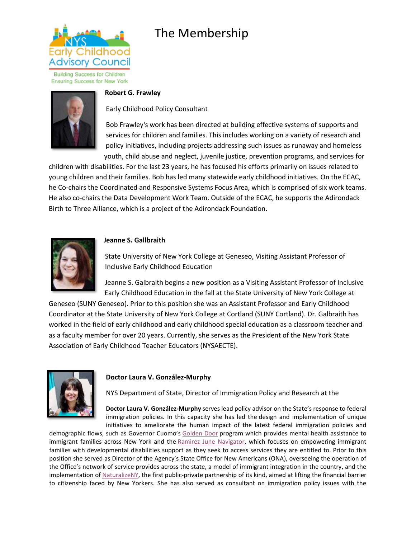

**Building Success for Children Ensuring Success for New York** 



### **Robert G. Frawley**

Early Childhood Policy Consultant

Bob Frawley's work has been directed at building effective systems of supports and services for children and families. This includes working on a variety of research and policy initiatives, including projects addressing such issues as runaway and homeless youth, child abuse and neglect, juvenile justice, prevention programs, and services for

children with disabilities. For the last 23 years, he has focused his efforts primarily on issues related to young children and their families. Bob has led many statewide early childhood initiatives. On the ECAC, he Co-chairs the Coordinated and Responsive Systems Focus Area, which is comprised of six work teams. He also co-chairs the Data Development Work Team. Outside of the ECAC, he supports the Adirondack Birth to Three Alliance, which is a project of the Adirondack Foundation.



#### **Jeanne S. Gallbraith**

State University of New York College at Geneseo, Visiting Assistant Professor of Inclusive Early Childhood Education

Jeanne S. Galbraith begins a new position as a Visiting Assistant Professor of Inclusive Early Childhood Education in the fall at the State University of New York College at

Geneseo (SUNY Geneseo). Prior to this position she was an Assistant Professor and Early Childhood Coordinator at the State University of New York College at Cortland (SUNY Cortland). Dr. Galbraith has worked in the field of early childhood and early childhood special education as a classroom teacher and as a faculty member for over 20 years. Currently, she serves as the President of the New York State Association of Early Childhood Teacher Educators (NYSAECTE).



#### **Doctor Laura V. González-Murphy**

NYS Department of State, Director of Immigration Policy and Research at the

**Doctor Laura V. González-Murphy** serves lead policy advisor on the State's response to federal immigration policies. In this capacity she has led the design and implementation of unique initiatives to ameliorate the human impact of the latest federal immigration policies and

demographic flows, such as Governor Cuomo's [Golden Door](https://urldefense.proofpoint.com/v2/url?u=https-3A__www.governor.ny.gov_news_governor-2Dcuomo-2Dannounces-2Dexpansion-2Dliberty-2Ddefense-2Dproject-2Dprovide-2Denhanced-2Dimmigration-2Dlegal&d=DwMF-g&c=mRWFL96tuqj9V0Jjj4h40ddo0XsmttALwKjAEOCyUjY&r=003hGEA_NWvK6fGKtgc66vlArdI7Bmdl9Oi9bSP2t7A&m=3VYSIUMCqmI3fY_dP0eenEu0zY6kisXRksmPF0mPgBU&s=Ynv9In-j9ExR1BekTXbg_yEhUtcmLXYmxdW1SxYjnOQ&e=) program which provides mental health assistance to immigrant families across New York and the [Ramirez June Navigator,](https://urldefense.proofpoint.com/v2/url?u=https-3A__www.dos.ny.gov_press_2020_ona-2Dpr-2D081220.html&d=DwMF-g&c=mRWFL96tuqj9V0Jjj4h40ddo0XsmttALwKjAEOCyUjY&r=003hGEA_NWvK6fGKtgc66vlArdI7Bmdl9Oi9bSP2t7A&m=3VYSIUMCqmI3fY_dP0eenEu0zY6kisXRksmPF0mPgBU&s=VNOOb8EuLmzhkiW3JdNn8lpyzXGCanFabIRwgwQuzbQ&e=) which focuses on empowering immigrant families with developmental disabilities support as they seek to access services they are entitled to. Prior to this position she served as Director of the Agency's State Office for New Americans (ONA), overseeing the operation of the Office's network of service provides across the state, a model of immigrant integration in the country, and the implementation of [NaturalizeNY,](https://urldefense.proofpoint.com/v2/url?u=https-3A__www.governor.ny.gov_news_governor-2Dcuomo-2Dlaunches-2Dnaturalize-2Dny-2Dfirst-2Dpublic-2Dprivate-2Dpartnership-2Dits-2Dkind-2Dpromote-2Dus&d=DwMF-g&c=mRWFL96tuqj9V0Jjj4h40ddo0XsmttALwKjAEOCyUjY&r=003hGEA_NWvK6fGKtgc66vlArdI7Bmdl9Oi9bSP2t7A&m=3VYSIUMCqmI3fY_dP0eenEu0zY6kisXRksmPF0mPgBU&s=KWWRFWfI48IGdY57SvT2gMi2uLqqqZCfUwz2IhrV7ZU&e=) the first public-private partnership of its kind, aimed at lifting the financial barrier to citizenship faced by New Yorkers. She has also served as consultant on immigration policy issues with the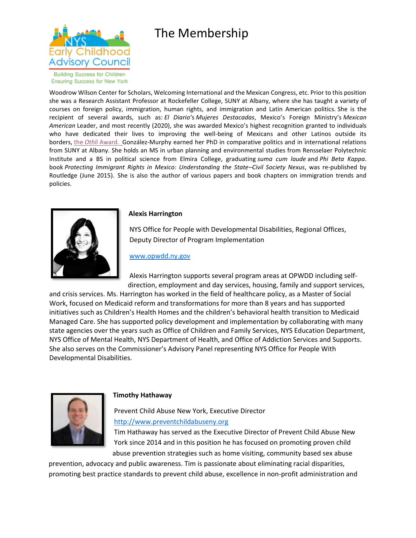



**Building Success for Children Ensuring Success for New York** 

Woodrow Wilson Center for Scholars, Welcoming International and the Mexican Congress, etc. Prior to this position she was a Research Assistant Professor at Rockefeller College, SUNY at Albany, where she has taught a variety of courses on foreign policy, immigration, human rights, and immigration and Latin American politics. She is the recipient of several awards, such as: *El Diario'*s *Mujeres Destacadas*, Mexico's Foreign Ministry's *Mexican American* Leader, and most recently (2020), she was awarded Mexico's highest recognition granted to individuals who have dedicated their lives to improving the well-being of Mexicans and other Latinos outside its borders, the *Othli* [Award.](https://urldefense.proofpoint.com/v2/url?u=https-3A__www.albany.edu_news_97310.php&d=DwMF-g&c=mRWFL96tuqj9V0Jjj4h40ddo0XsmttALwKjAEOCyUjY&r=003hGEA_NWvK6fGKtgc66vlArdI7Bmdl9Oi9bSP2t7A&m=3VYSIUMCqmI3fY_dP0eenEu0zY6kisXRksmPF0mPgBU&s=voAYeOJLqJAmZpZgYbCFEqfC6ElDoJIgdlT9snE-Mbc&e=) González-Murphy earned her PhD in comparative politics and in international relations from SUNY at Albany. She holds an MS in urban planning and environmental studies from Rensselaer Polytechnic Institute and a BS in political science from Elmira College, graduating *suma cum laude* and *Phi Beta Kappa*. book *Protecting Immigrant Rights in Mexico: Understanding the State–Civil Society Nexus*, was re-published by Routledge (June 2015). She is also the author of various papers and book chapters on immigration trends and policies.



#### **Alexis Harrington**

NYS Office for People with Developmental Disabilities, Regional Offices, Deputy Director of Program Implementation

#### [www.opwdd.ny.gov](http://www.opwdd.ny.gov/)

Alexis Harrington supports several program areas at OPWDD including selfdirection, employment and day services, housing, family and support services,

and crisis services. Ms. Harrington has worked in the field of healthcare policy, as a Master of Social Work, focused on Medicaid reform and transformations for more than 8 years and has supported initiatives such as Children's Health Homes and the children's behavioral health transition to Medicaid Managed Care. She has supported policy development and implementation by collaborating with many state agencies over the years such as Office of Children and Family Services, NYS Education Department, NYS Office of Mental Health, NYS Department of Health, and Office of Addiction Services and Supports. She also serves on the Commissioner's Advisory Panel representing NYS Office for People With Developmental Disabilities.



#### **Timothy Hathaway**

Prevent Child Abuse New York, Executive Director [http://www.preventchildabuseny.org](http://www.preventchildabuseny.org/)

Tim Hathaway has served as the Executive Director of Prevent Child Abuse New York since 2014 and in this position he has focused on promoting proven child abuse prevention strategies such as home visiting, community based sex abuse

prevention, advocacy and public awareness. Tim is passionate about eliminating racial disparities, promoting best practice standards to prevent child abuse, excellence in non-profit administration and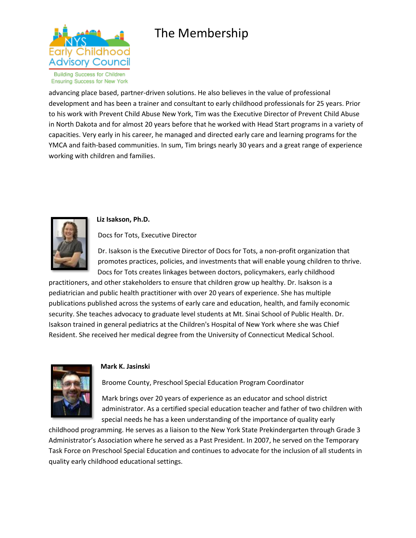

advancing place based, partner-driven solutions. He also believes in the value of professional development and has been a trainer and consultant to early childhood professionals for 25 years. Prior to his work with Prevent Child Abuse New York, Tim was the Executive Director of Prevent Child Abuse in North Dakota and for almost 20 years before that he worked with Head Start programs in a variety of capacities. Very early in his career, he managed and directed early care and learning programs for the YMCA and faith-based communities. In sum, Tim brings nearly 30 years and a great range of experience working with children and families.



## **Liz Isakson, Ph.D.**

Docs for Tots, Executive Director

Dr. Isakson is the Executive Director of Docs for Tots, a non-profit organization that promotes practices, policies, and investments that will enable young children to thrive. Docs for Tots creates linkages between doctors, policymakers, early childhood

practitioners, and other stakeholders to ensure that children grow up healthy. Dr. Isakson is a pediatrician and public health practitioner with over 20 years of experience. She has multiple publications published across the systems of early care and education, health, and family economic security. She teaches advocacy to graduate level students at Mt. Sinai School of Public Health. Dr. Isakson trained in general pediatrics at the Children's Hospital of New York where she was Chief Resident. She received her medical degree from the University of Connecticut Medical School.



#### **Mark K. Jasinski**

Broome County, Preschool Special Education Program Coordinator

Mark brings over 20 years of experience as an educator and school district administrator. As a certified special education teacher and father of two children with special needs he has a keen understanding of the importance of quality early

childhood programming. He serves as a liaison to the New York State Prekindergarten through Grade 3 Administrator's Association where he served as a Past President. In 2007, he served on the Temporary Task Force on Preschool Special Education and continues to advocate for the inclusion of all students in quality early childhood educational settings.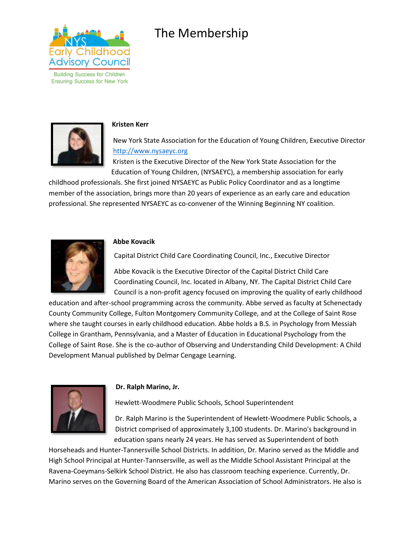

**Ensuring Success for New York** 

## The Membership



#### **Kristen Kerr**

New York State Association for the Education of Young Children, Executive Director [http://www.nysaeyc.org](http://www.nysaeyc.org/)

Kristen is the Executive Director of the New York State Association for the Education of Young Children, (NYSAEYC), a membership association for early

childhood professionals. She first joined NYSAEYC as Public Policy Coordinator and as a longtime member of the association, brings more than 20 years of experience as an early care and education professional. She represented NYSAEYC as co-convener of the Winning Beginning NY coalition.



#### **Abbe Kovacik**

Capital District Child Care Coordinating Council, Inc., Executive Director

Abbe Kovacik is the Executive Director of the Capital District Child Care Coordinating Council, Inc. located in Albany, NY. The Capital District Child Care Council is a non-profit agency focused on improving the quality of early childhood

education and after-school programming across the community. Abbe served as faculty at Schenectady County Community College, Fulton Montgomery Community College, and at the College of Saint Rose where she taught courses in early childhood education. Abbe holds a B.S. in Psychology from Messiah College in Grantham, Pennsylvania, and a Master of Education in Educational Psychology from the College of Saint Rose. She is the co-author of Observing and Understanding Child Development: A Child Development Manual published by Delmar Cengage Learning.



#### **Dr. Ralph Marino, Jr.**

Hewlett-Woodmere Public Schools, School Superintendent

Dr. Ralph Marino is the Superintendent of Hewlett-Woodmere Public Schools, a District comprised of approximately 3,100 students. Dr. Marino's background in education spans nearly 24 years. He has served as Superintendent of both

Horseheads and Hunter-Tannersville School Districts. In addition, Dr. Marino served as the Middle and High School Principal at Hunter-Tannsersville, as well as the Middle School Assistant Principal at the Ravena-Coeymans-Selkirk School District. He also has classroom teaching experience. Currently, Dr. Marino serves on the Governing Board of the American Association of School Administrators. He also is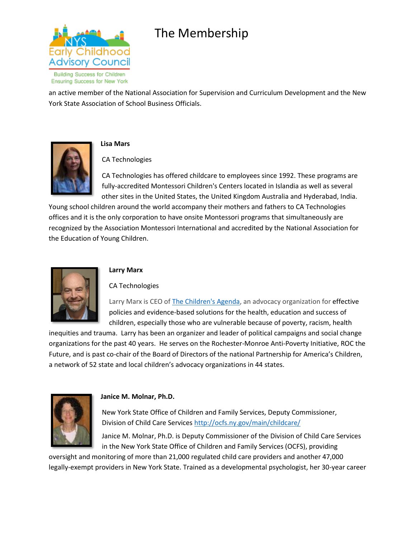

**Ensuring Success for New York** 

an active member of the National Association for Supervision and Curriculum Development and the New York State Association of School Business Officials.



## **Lisa Mars**

CA Technologies

CA Technologies has offered childcare to employees since 1992. These programs are fully-accredited Montessori Children's Centers located in Islandia as well as several other sites in the United States, the United Kingdom Australia and Hyderabad, India.

Young school children around the world accompany their mothers and fathers to CA Technologies offices and it is the only corporation to have onsite Montessori programs that simultaneously are recognized by the Association Montessori International and accredited by the National Association for the Education of Young Children.



## **Larry Marx**

CA Technologies

Larry Marx is CEO of [The Children's Agenda,](https://urldefense.proofpoint.com/v2/url?u=http-3A__thechildrensagenda.org_&d=DwMGaQ&c=mRWFL96tuqj9V0Jjj4h40ddo0XsmttALwKjAEOCyUjY&r=003hGEA_NWvK6fGKtgc66vlArdI7Bmdl9Oi9bSP2t7A&m=FP0p4FlLMp3NUuzdpet6CMMKyt_UCZ2-cKnAjNmELsw&s=u6BLytxwIz2bvzQsFHl8RZebka9jZXoIx977DC0637o&e=) an advocacy organization for effective policies and evidence-based solutions for the health, education and success of children, especially those who are vulnerable because of poverty, racism, health

inequities and trauma. Larry has been an organizer and leader of political campaigns and social change organizations for the past 40 years. He serves on the Rochester-Monroe Anti-Poverty Initiative, ROC the Future, and is past co-chair of the Board of Directors of the national Partnership for America's Children, a network of 52 state and local children's advocacy organizations in 44 states.



## **Janice M. Molnar, Ph.D.**

New York State Office of Children and Family Services, Deputy Commissioner, Division of Child Care Services<http://ocfs.ny.gov/main/childcare/>

Janice M. Molnar, Ph.D. is Deputy Commissioner of the Division of Child Care Services in the New York State Office of Children and Family Services (OCFS), providing

oversight and monitoring of more than 21,000 regulated child care providers and another 47,000 legally-exempt providers in New York State. Trained as a developmental psychologist, her 30-year career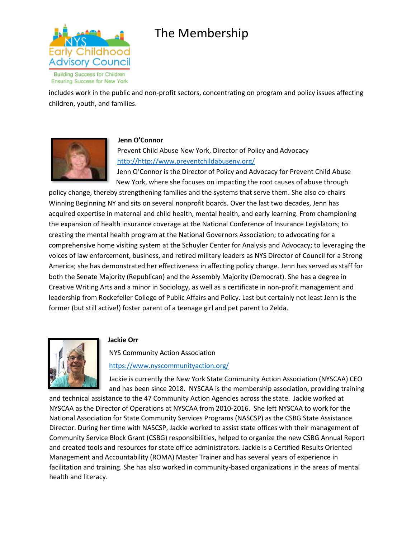

**Building Success for Children Ensuring Success for New York** 

includes work in the public and non-profit sectors, concentrating on program and policy issues affecting children, youth, and families.



## **Jenn O'Connor**

Prevent Child Abuse New York, Director of Policy and Advocacy [http://http://www.preventchildabuseny.org/](http://http/www.preventchildabuseny.org/)

Jenn O'Connor is the Director of Policy and Advocacy for Prevent Child Abuse New York, where she focuses on impacting the root causes of abuse through

policy change, thereby strengthening families and the systems that serve them. She also co-chairs Winning Beginning NY and sits on several nonprofit boards. Over the last two decades, Jenn has acquired expertise in maternal and child health, mental health, and early learning. From championing the expansion of health insurance coverage at the National Conference of Insurance Legislators; to creating the mental health program at the National Governors Association; to advocating for a comprehensive home visiting system at the Schuyler Center for Analysis and Advocacy; to leveraging the voices of law enforcement, business, and retired military leaders as NYS Director of Council for a Strong America; she has demonstrated her effectiveness in affecting policy change. Jenn has served as staff for both the Senate Majority (Republican) and the Assembly Majority (Democrat). She has a degree in Creative Writing Arts and a minor in Sociology, as well as a certificate in non-profit management and leadership from Rockefeller College of Public Affairs and Policy. Last but certainly not least Jenn is the former (but still active!) foster parent of a teenage girl and pet parent to Zelda.



## **Jackie Orr**

NYS Community Action Association

## <https://www.nyscommunityaction.org/>

Jackie is currently the New York State Community Action Association (NYSCAA) CEO and has been since 2018. NYSCAA is the membership association, providing training

and technical assistance to the 47 Community Action Agencies across the state. Jackie worked at NYSCAA as the Director of Operations at NYSCAA from 2010-2016. She left NYSCAA to work for the National Association for State Community Services Programs (NASCSP) as the CSBG State Assistance Director. During her time with NASCSP, Jackie worked to assist state offices with their management of Community Service Block Grant (CSBG) responsibilities, helped to organize the new CSBG Annual Report and created tools and resources for state office administrators. Jackie is a Certified Results Oriented Management and Accountability (ROMA) Master Trainer and has several years of experience in facilitation and training. She has also worked in community-based organizations in the areas of mental health and literacy.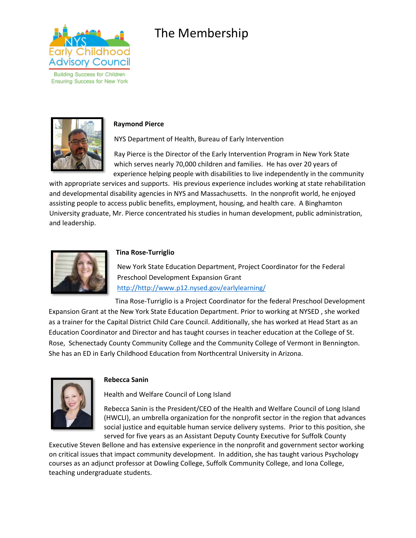

**Building Success for Children Ensuring Success for New York** 



#### **Raymond Pierce**

NYS Department of Health, Bureau of Early Intervention

Ray Pierce is the Director of the Early Intervention Program in New York State which serves nearly 70,000 children and families. He has over 20 years of experience helping people with disabilities to live independently in the community

with appropriate services and supports. His previous experience includes working at state rehabilitation and developmental disability agencies in NYS and Massachusetts. In the nonprofit world, he enjoyed assisting people to access public benefits, employment, housing, and health care. A Binghamton University graduate, Mr. Pierce concentrated his studies in human development, public administration, and leadership.



## **Tina Rose-Turriglio**

New York State Education Department, Project Coordinator for the Federal Preschool Development Expansion Grant [http://http://www.p12.nysed.gov/earlylearning/](http://http/www.p12.nysed.gov/earlylearning/)

Tina Rose-Turriglio is a Project Coordinator for the federal Preschool Development Expansion Grant at the New York State Education Department. Prior to working at NYSED , she worked as a trainer for the Capital District Child Care Council. Additionally, she has worked at Head Start as an Education Coordinator and Director and has taught courses in teacher education at the College of St. Rose, Schenectady County Community College and the Community College of Vermont in Bennington. She has an ED in Early Childhood Education from Northcentral University in Arizona.



#### **Rebecca Sanin**

Health and Welfare Council of Long Island

Rebecca Sanin is the President/CEO of the Health and Welfare Council of Long Island (HWCLI), an umbrella organization for the nonprofit sector in the region that advances social justice and equitable human service delivery systems. Prior to this position, she served for five years as an Assistant Deputy County Executive for Suffolk County

Executive Steven Bellone and has extensive experience in the nonprofit and government sector working on critical issues that impact community development. In addition, she has taught various Psychology courses as an adjunct professor at Dowling College, Suffolk Community College, and Iona College, teaching undergraduate students.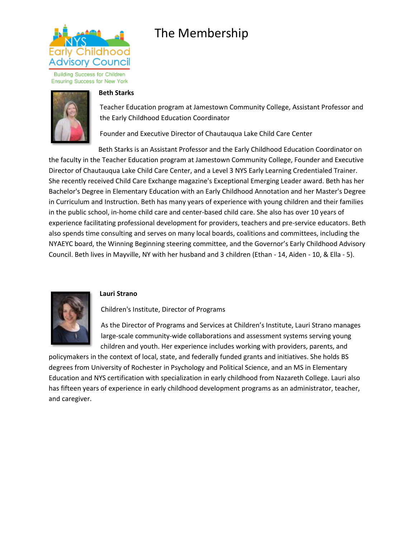

**Building Success for Children Ensuring Success for New York** 



#### **Beth Starks**

Teacher Education program at Jamestown Community College, Assistant Professor and the Early Childhood Education Coordinator

Founder and Executive Director of Chautauqua Lake Child Care Center

Beth Starks is an Assistant Professor and the Early Childhood Education Coordinator on the faculty in the Teacher Education program at Jamestown Community College, Founder and Executive Director of Chautauqua Lake Child Care Center, and a Level 3 NYS Early Learning Credentialed Trainer. She recently received Child Care Exchange magazine's Exceptional Emerging Leader award. Beth has her Bachelor's Degree in Elementary Education with an Early Childhood Annotation and her Master's Degree in Curriculum and Instruction. Beth has many years of experience with young children and their families in the public school, in-home child care and center-based child care. She also has over 10 years of experience facilitating professional development for providers, teachers and pre-service educators. Beth also spends time consulting and serves on many local boards, coalitions and committees, including the NYAEYC board, the Winning Beginning steering committee, and the Governor's Early Childhood Advisory Council. Beth lives in Mayville, NY with her husband and 3 children (Ethan - 14, Aiden - 10, & Ella - 5).



## **Lauri Strano**

Children's Institute, Director of Programs

As the Director of Programs and Services at Children's Institute, Lauri Strano manages large-scale community-wide collaborations and assessment systems serving young children and youth. Her experience includes working with providers, parents, and

policymakers in the context of local, state, and federally funded grants and initiatives. She holds BS degrees from University of Rochester in Psychology and Political Science, and an MS in Elementary Education and NYS certification with specialization in early childhood from Nazareth College. Lauri also has fifteen years of experience in early childhood development programs as an administrator, teacher, and caregiver.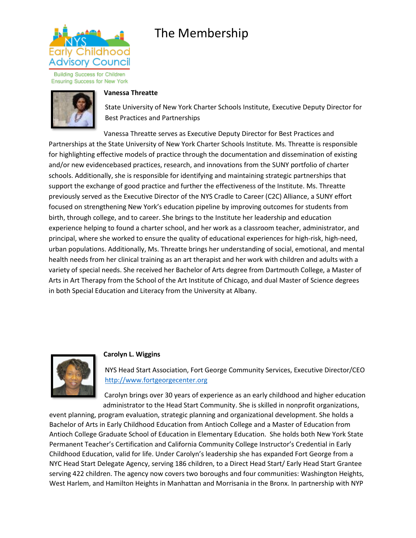

**Building Success for Children Ensuring Success for New York** 



### **Vanessa Threatte**

State University of New York Charter Schools Institute, Executive Deputy Director for Best Practices and Partnerships

Vanessa Threatte serves as Executive Deputy Director for Best Practices and Partnerships at the State University of New York Charter Schools Institute. Ms. Threatte is responsible for highlighting effective models of practice through the documentation and dissemination of existing and/or new evidencebased practices, research, and innovations from the SUNY portfolio of charter schools. Additionally, she is responsible for identifying and maintaining strategic partnerships that support the exchange of good practice and further the effectiveness of the Institute. Ms. Threatte previously served as the Executive Director of the NYS Cradle to Career (C2C) Alliance, a SUNY effort focused on strengthening New York's education pipeline by improving outcomes for students from birth, through college, and to career. She brings to the Institute her leadership and education experience helping to found a charter school, and her work as a classroom teacher, administrator, and principal, where she worked to ensure the quality of educational experiences for high-risk, high-need, urban populations. Additionally, Ms. Threatte brings her understanding of social, emotional, and mental health needs from her clinical training as an art therapist and her work with children and adults with a variety of special needs. She received her Bachelor of Arts degree from Dartmouth College, a Master of Arts in Art Therapy from the School of the Art Institute of Chicago, and dual Master of Science degrees in both Special Education and Literacy from the University at Albany.



## **Carolyn L. Wiggins**

NYS Head Start Association, Fort George Community Services, Executive Director/CEO [http://www.fortgeorgecenter.org](http://www.fortgeorgecenter.org/)

Carolyn brings over 30 years of experience as an early childhood and higher education administrator to the Head Start Community. She is skilled in nonprofit organizations,

event planning, program evaluation, strategic planning and organizational development. She holds a Bachelor of Arts in Early Childhood Education from Antioch College and a Master of Education from Antioch College Graduate School of Education in Elementary Education. She holds both New York State Permanent Teacher's Certification and California Community College Instructor's Credential in Early Childhood Education, valid for life. Under Carolyn's leadership she has expanded Fort George from a NYC Head Start Delegate Agency, serving 186 children, to a Direct Head Start/ Early Head Start Grantee serving 422 children. The agency now covers two boroughs and four communities: Washington Heights, West Harlem, and Hamilton Heights in Manhattan and Morrisania in the Bronx. In partnership with NYP